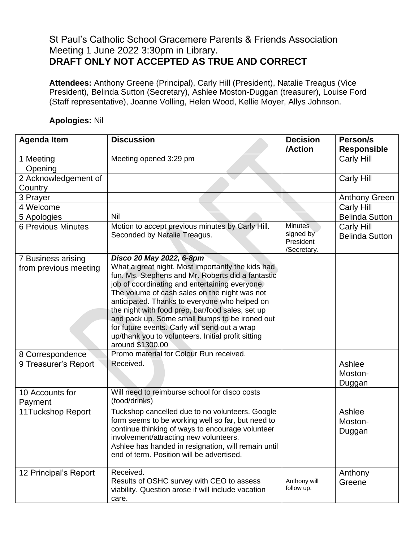## St Paul's Catholic School Gracemere Parents & Friends Association Meeting 1 June 2022 3:30pm in Library. **DRAFT ONLY NOT ACCEPTED AS TRUE AND CORRECT**

**Attendees:** Anthony Greene (Principal), Carly Hill (President), Natalie Treagus (Vice President), Belinda Sutton (Secretary), Ashlee Moston-Duggan (treasurer), Louise Ford (Staff representative), Joanne Volling, Helen Wood, Kellie Moyer, Allys Johnson.

## **Agenda Item Discussion Decision /Action Person/s Responsible** 1 Meeting Opening Meeting opened 3:29 pm Carly Hill 2 Acknowledgement of **Country** Carly Hill 3 Prayer Anthony Green 4 Welcome Carly Hill 5 Apologies Nil Nil Belinda Sutton 6 Previous Minutes | Motion to accept previous minutes by Carly Hill. Seconded by Natalie Treagus. **Minutes** signed by President /Secretary. Carly Hill Belinda Sutton 7 Business arising from previous meeting *Disco 20 May 2022, 6-8pm* What a great night. Most importantly the kids had fun. Ms. Stephens and Mr. Roberts did a fantastic job of coordinating and entertaining everyone. The volume of cash sales on the night was not anticipated. Thanks to everyone who helped on the night with food prep, bar/food sales, set up and pack up. Some small bumps to be ironed out for future events. Carly will send out a wrap up/thank you to volunteers. Initial profit sitting around \$1300.00 8 Correspondence | Promo material for Colour Run received. 9 Treasurer's Report Received. Ashlee Received. Moston-Duggan 10 Accounts for Payment Will need to reimburse school for disco costs (food/drinks) 11Tuckshop Report | Tuckshop cancelled due to no volunteers. Google form seems to be working well so far, but need to continue thinking of ways to encourage volunteer involvement/attracting new volunteers. Ashlee has handed in resignation, will remain until end of term. Position will be advertised. Ashlee Moston-Duggan 12 Principal's Report | Received. Results of OSHC survey with CEO to assess viability. Question arose if will include vacation Anthony will follow up. Anthony **Greene**

## **Apologies:** Nil

care.